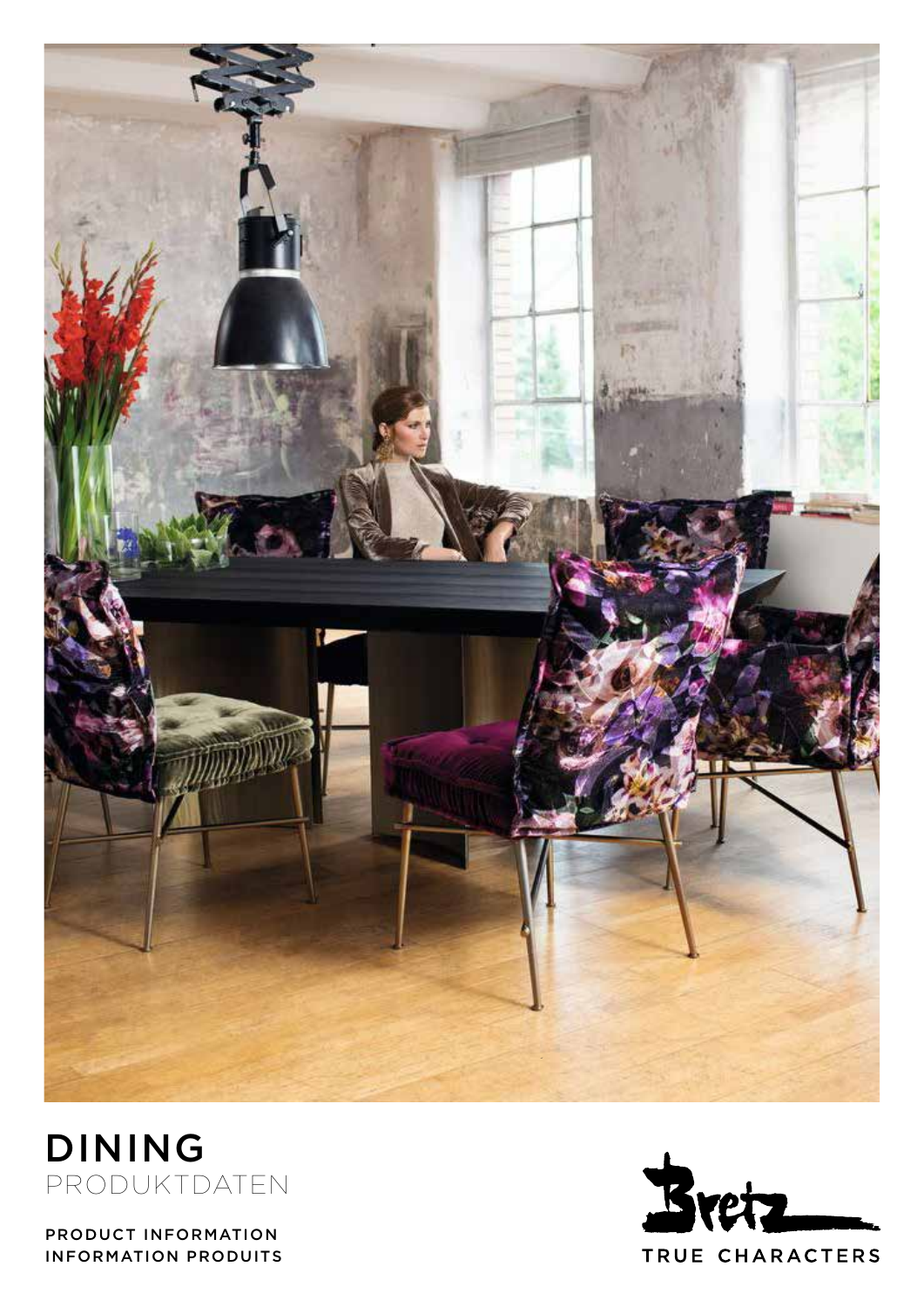



PRODUCT INFORMATION INFORMATION PRODUITS

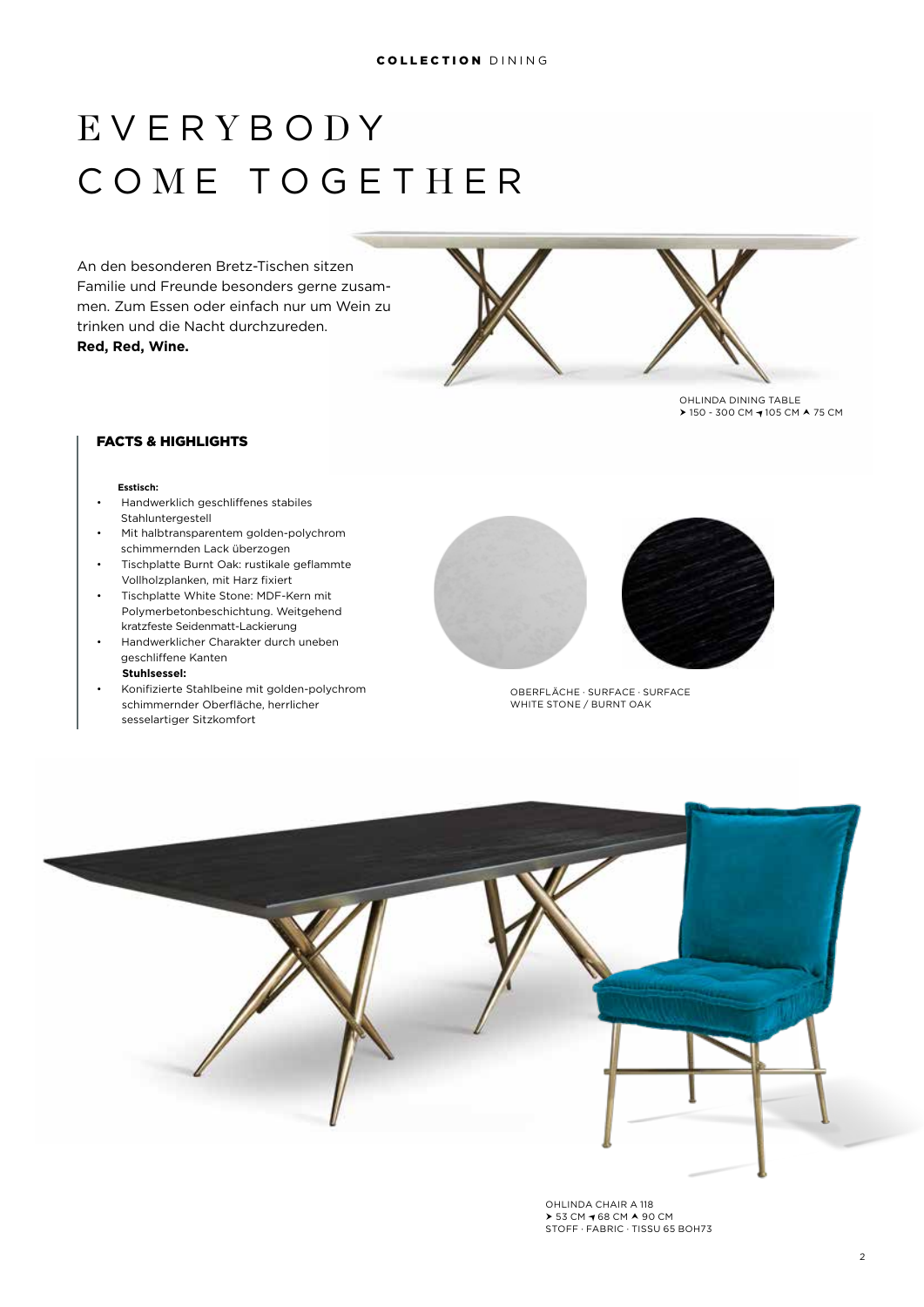# E VER Y B O D Y C O M E TOGET H E R

An den besonderen Bretz-Tischen sitzen Familie und Freunde besonders gerne zusammen. Zum Essen oder einfach nur um Wein zu trinken und die Nacht durchzureden. **Red, Red, Wine.**



OHLINDA DINING TABLE > 150 - 300 CM → 105 CM ▲ 75 CM

# FACTS & HIGHLIGHTS

#### **Esstisch:**

- Handwerklich geschliffenes stabiles Stahluntergestell
- Mit halbtransparentem golden-polychrom schimmernden Lack überzogen
- Tischplatte Burnt Oak: rustikale geflammte Vollholzplanken, mit Harz fixiert
- Tischplatte White Stone: MDF-Kern mit Polymerbetonbeschichtung. Weitgehend  kratzfeste Seidenmatt-Lackierung
- Handwerklicher Charakter durch uneben geschliffene Kanten
- **Stuhlsessel:**
- Konifizierte Stahlbeine mit golden-polychrom schimmernder Oberfläche, herrlicher   sesselartiger Sitzkomfort





OBERFLÄCHE · SURFACE · SURFACE WHITE STONE / BURNT OAK



OHLINDA CHAIR A 118  $>$  53 CM  $\rightarrow$  68 CM  $\land$  90 CM STOFF · FABRIC · TISSU 65 BOH73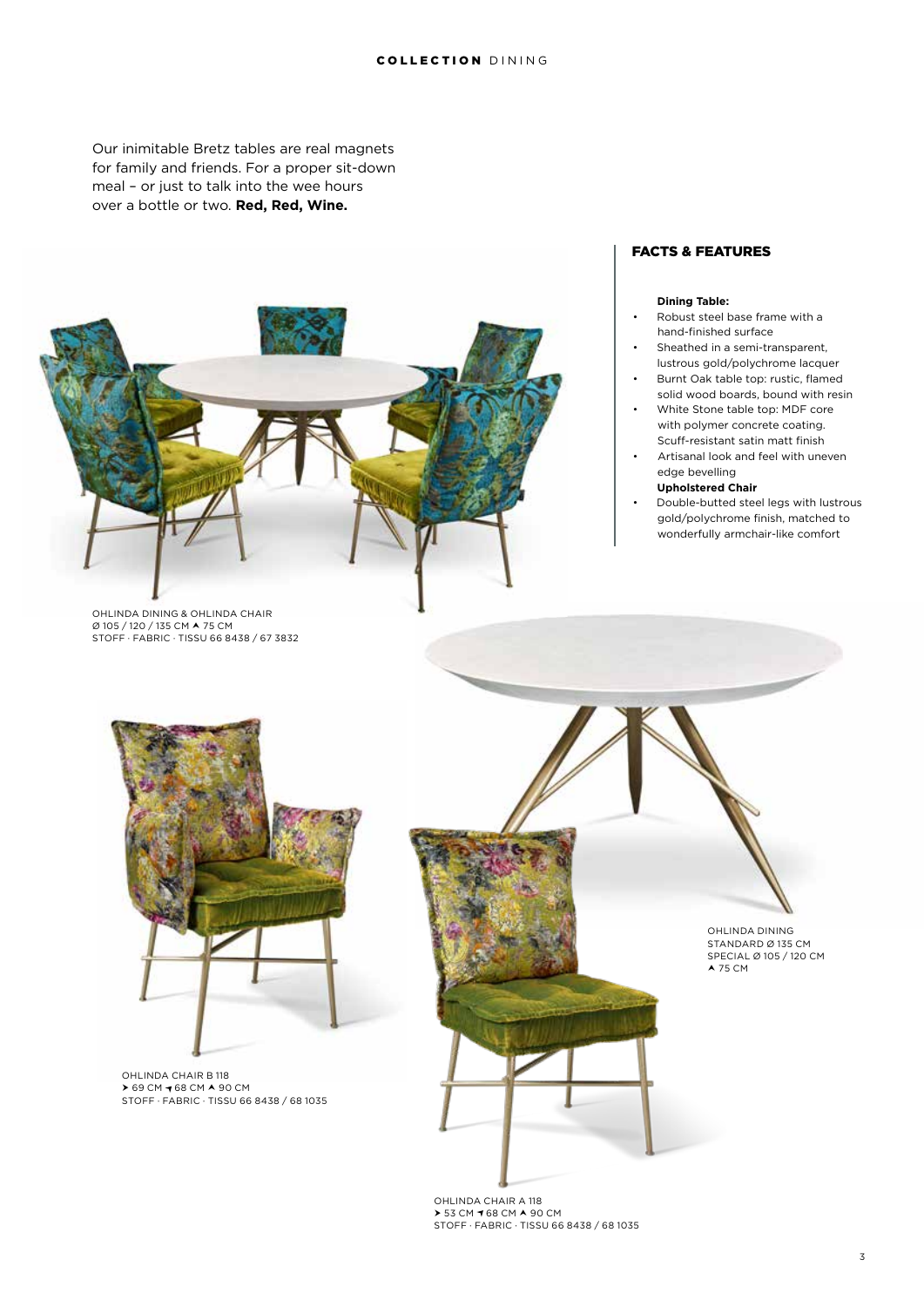#### COLLECTION DINING

Our inimitable Bretz tables are real magnets for family and friends. For a proper sit-down meal – or just to talk into the wee hours over a bottle or two. **Red, Red, Wine.**



# OHLINDA DINING & OHLINDA CHAIR Ø 105 / 120 / 135 CM 75 CM STOFF · FABRIC · TISSU 66 8438 / 67 3832

#### FACTS & FEATURES

#### **Dining Table:**

- Robust steel base frame with a hand-finished surface
- Sheathed in a semi-transparent, lustrous gold/polychrome lacquer
- Burnt Oak table top: rustic, flamed solid wood boards, bound with resin
- White Stone table top: MDF core with polymer concrete coating. Scuff-resistant satin matt finish
- Artisanal look and feel with uneven edge bevelling
	- **Upholstered Chair**
- Double-butted steel legs with lustrous gold/polychrome finish, matched to wonderfully armchair-like comfort



OHLINDA CHAIR B 118 **▶ 69 CM ◀ 68 CM ▲ 90 CM<br>STOFF · FABRIC · TISSU 66 8438 / 68 1035** 



OHLINDA CHAIR A 118 ▶ 53 CM ¶ 68 CM ▲ 90 CM<br>STOFF · FABRIC · TISSU 66 8438 / 68 1035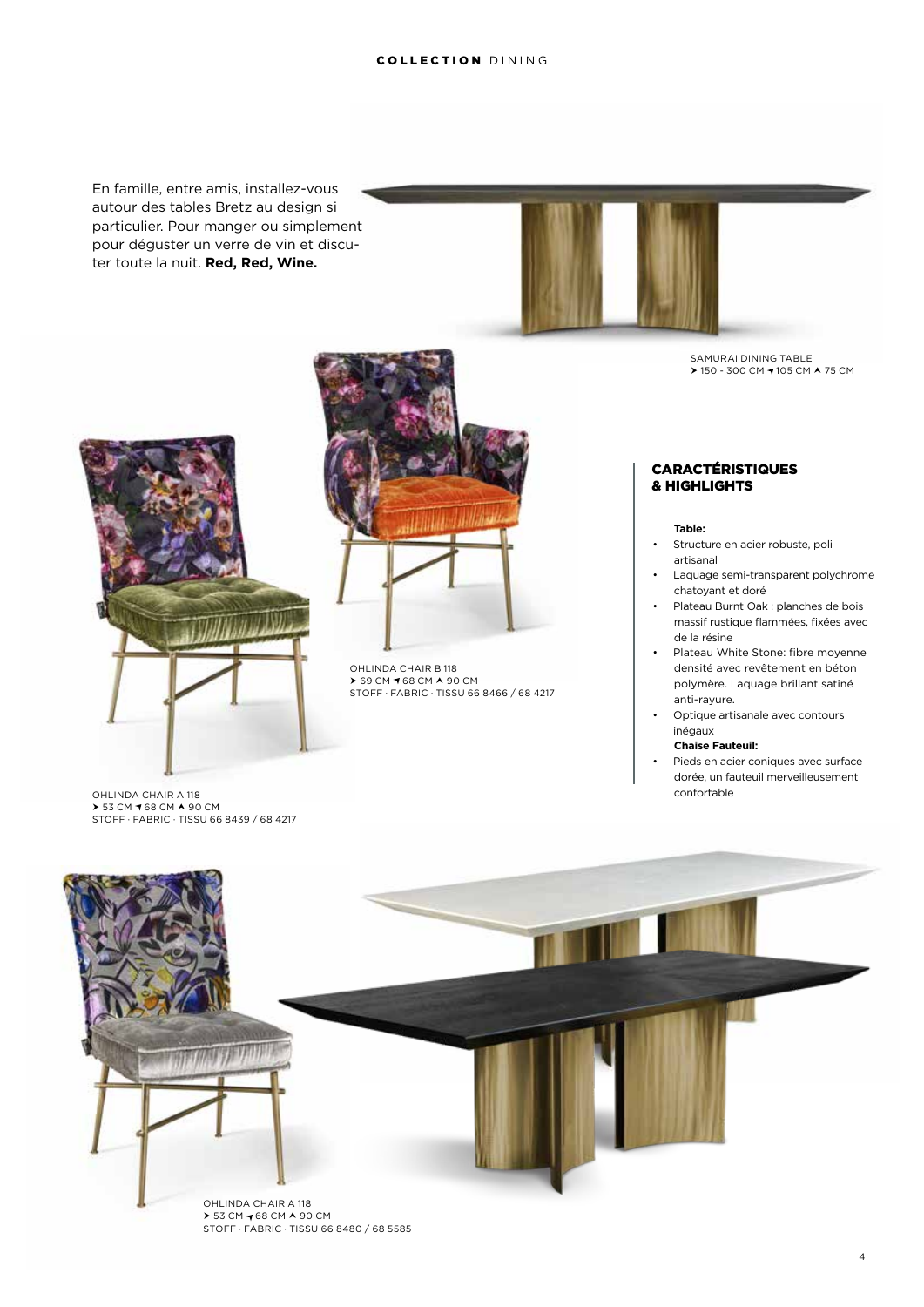En famille, entre amis, installez-vous autour des tables Bretz au design si particulier. Pour manger ou simplement pour déguster un verre de vin et discuter toute la nuit. **Red, Red, Wine.**





▶ 53 CM ◀ 68 CM ▲ 90 CM<br>STOFF · FABRIC · TISSU 66 8439 / 68 4217

OHLINDA CHAIR A 118



OHLINDA CHAIR B 118  $\geq$  69 CM  $\rightarrow$  68 CM  $\land$  90 CM STOFF · FABRIC · TISSU 66 8466 / 68 4217

SAMURAI DINING TABLE > 150 - 300 CM → 105 CM A 75 CM

## **CARACTÉRISTIQUES** & HIGHLIGHTS

#### **Table:**

- Structure en acier robuste, poli artisanal
- Laquage semi-transparent polychrome chatoyant et doré
- Plateau Burnt Oak : planches de bois massif rustique flammées, fixées avec de la résine
- Plateau White Stone: fibre moyenne densité avec revêtement en béton  polymère. Laquage brillant satiné anti-rayure.
- Optique artisanale avec contours inégaux

#### **Chaise Fauteuil:**

Pieds en acier coniques avec surface dorée, un fauteuil merveilleusement confortable

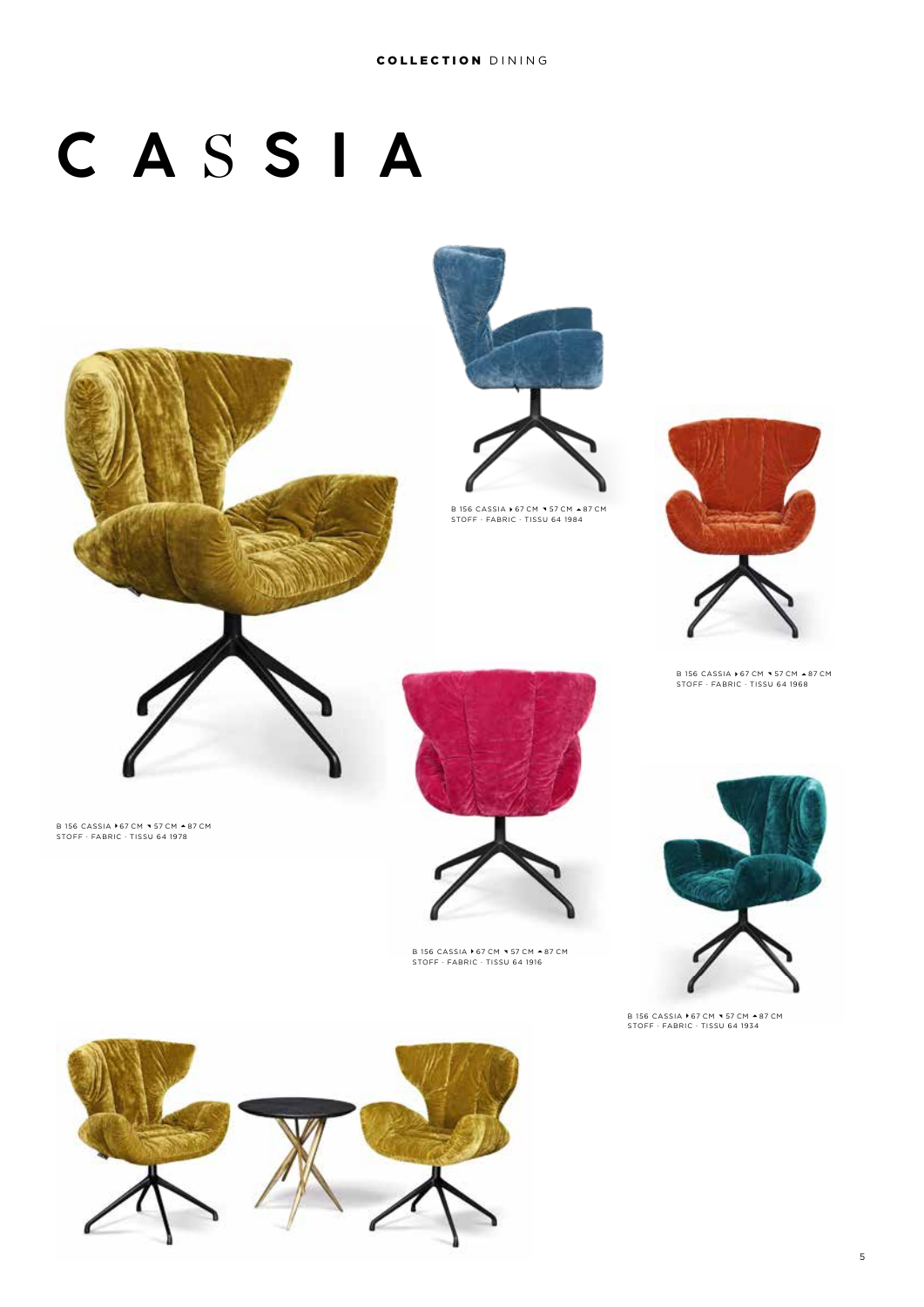# **C A** S **S I A**





B 156 CASSIA ▶ 67 CM ▼ 57 CM ▲ 87 CM<br>STOFF · FABRIC · TISSU 64 1984



B 156 CASSIA ▶ 67 CM ▼ 57 CM ▲ 87 CM<br>STOFF · FABRIC · TISSU 64 1968



B 156 CASSIA ▶67 CM ▼ 57 CM ▲87 CM<br>STOFF · FABRIC · TISSU 64 1978





B 156 CASSIA ▶ 67 CM ▼ 57 CM ▲ 87 CM STOFF · FABRIC · TISSU 64 1916



B 156 CASSIA ▶ 67 CM ▼ 57 CM ▲ 87 CM<br>STOFF · FABRIC · TISSU 64 1934

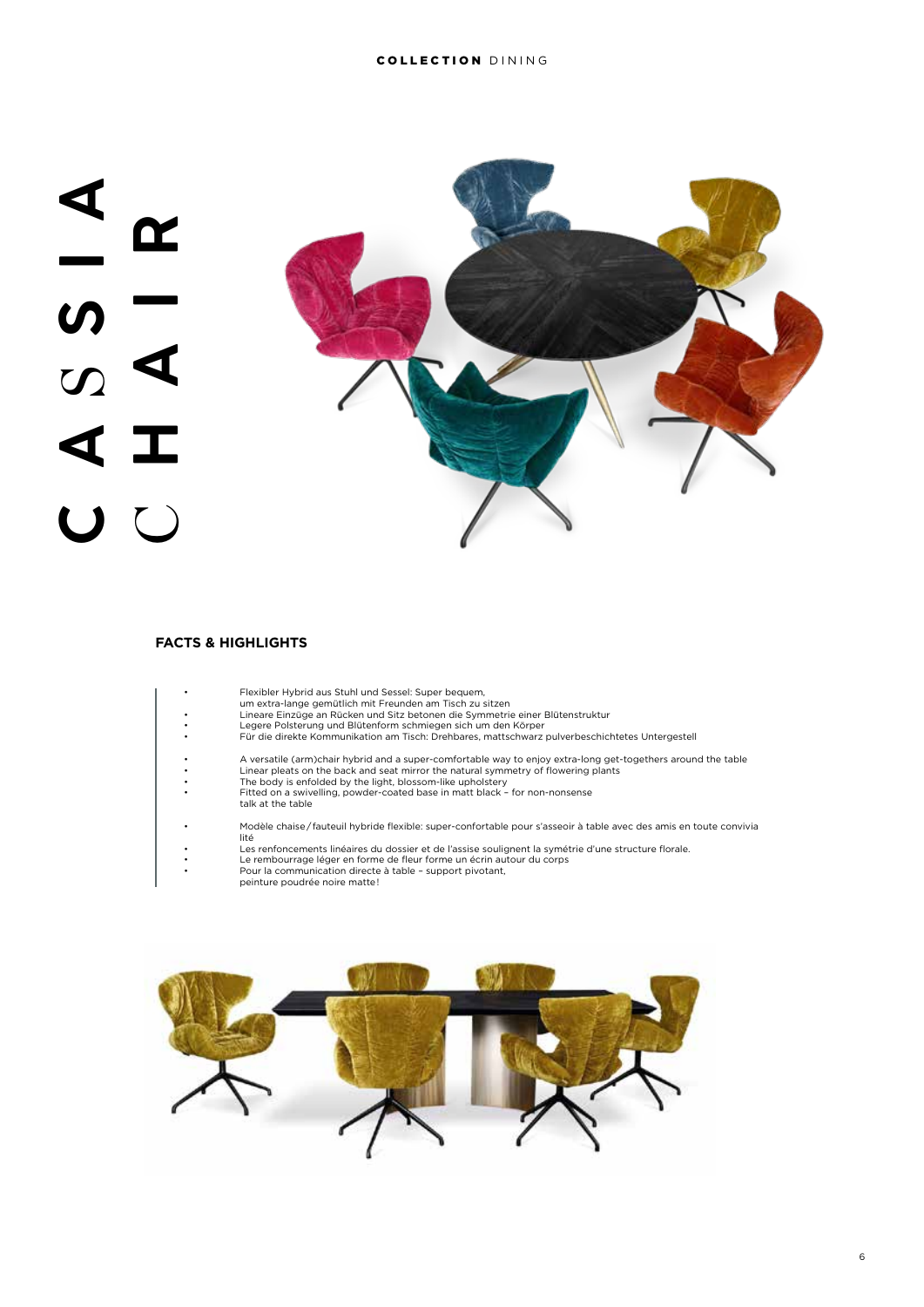

# **FACTS & HIGHLIGHTS**

| Flexibler Hybrid aus Stuhl und Sessel: Super bequem,<br>um extra-lange gemütlich mit Freunden am Tisch zu sitzen<br>Lineare Einzüge an Rücken und Sitz betonen die Symmetrie einer Blütenstruktur<br>Legere Polsterung und Blütenform schmiegen sich um den Körper<br>Für die direkte Kommunikation am Tisch: Drehbares, mattschwarz pulverbeschichtetes Untergestell<br>A versatile (arm)chair hybrid and a super-comfortable way to enjoy extra-long get-togethers around the table<br>Linear pleats on the back and seat mirror the natural symmetry of flowering plants<br>The body is enfolded by the light, blossom-like upholstery<br>Fitted on a swivelling, powder-coated base in matt black - for non-nonsense<br>talk at the table<br>Modèle chaise/fauteuil hybride flexible: super-confortable pour s'asseoir à table avec des amis en toute convivia<br>lité<br>Les renfoncements linéaires du dossier et de l'assise soulignent la symétrie d'une structure florale.<br>Le rembourrage léger en forme de fleur forme un écrin autour du corps<br>Pour la communication directe à table - support pivotant,<br>peinture poudrée noire matte! |  |
|------------------------------------------------------------------------------------------------------------------------------------------------------------------------------------------------------------------------------------------------------------------------------------------------------------------------------------------------------------------------------------------------------------------------------------------------------------------------------------------------------------------------------------------------------------------------------------------------------------------------------------------------------------------------------------------------------------------------------------------------------------------------------------------------------------------------------------------------------------------------------------------------------------------------------------------------------------------------------------------------------------------------------------------------------------------------------------------------------------------------------------------------------------|--|
|                                                                                                                                                                                                                                                                                                                                                                                                                                                                                                                                                                                                                                                                                                                                                                                                                                                                                                                                                                                                                                                                                                                                                            |  |
|                                                                                                                                                                                                                                                                                                                                                                                                                                                                                                                                                                                                                                                                                                                                                                                                                                                                                                                                                                                                                                                                                                                                                            |  |
|                                                                                                                                                                                                                                                                                                                                                                                                                                                                                                                                                                                                                                                                                                                                                                                                                                                                                                                                                                                                                                                                                                                                                            |  |
|                                                                                                                                                                                                                                                                                                                                                                                                                                                                                                                                                                                                                                                                                                                                                                                                                                                                                                                                                                                                                                                                                                                                                            |  |
|                                                                                                                                                                                                                                                                                                                                                                                                                                                                                                                                                                                                                                                                                                                                                                                                                                                                                                                                                                                                                                                                                                                                                            |  |

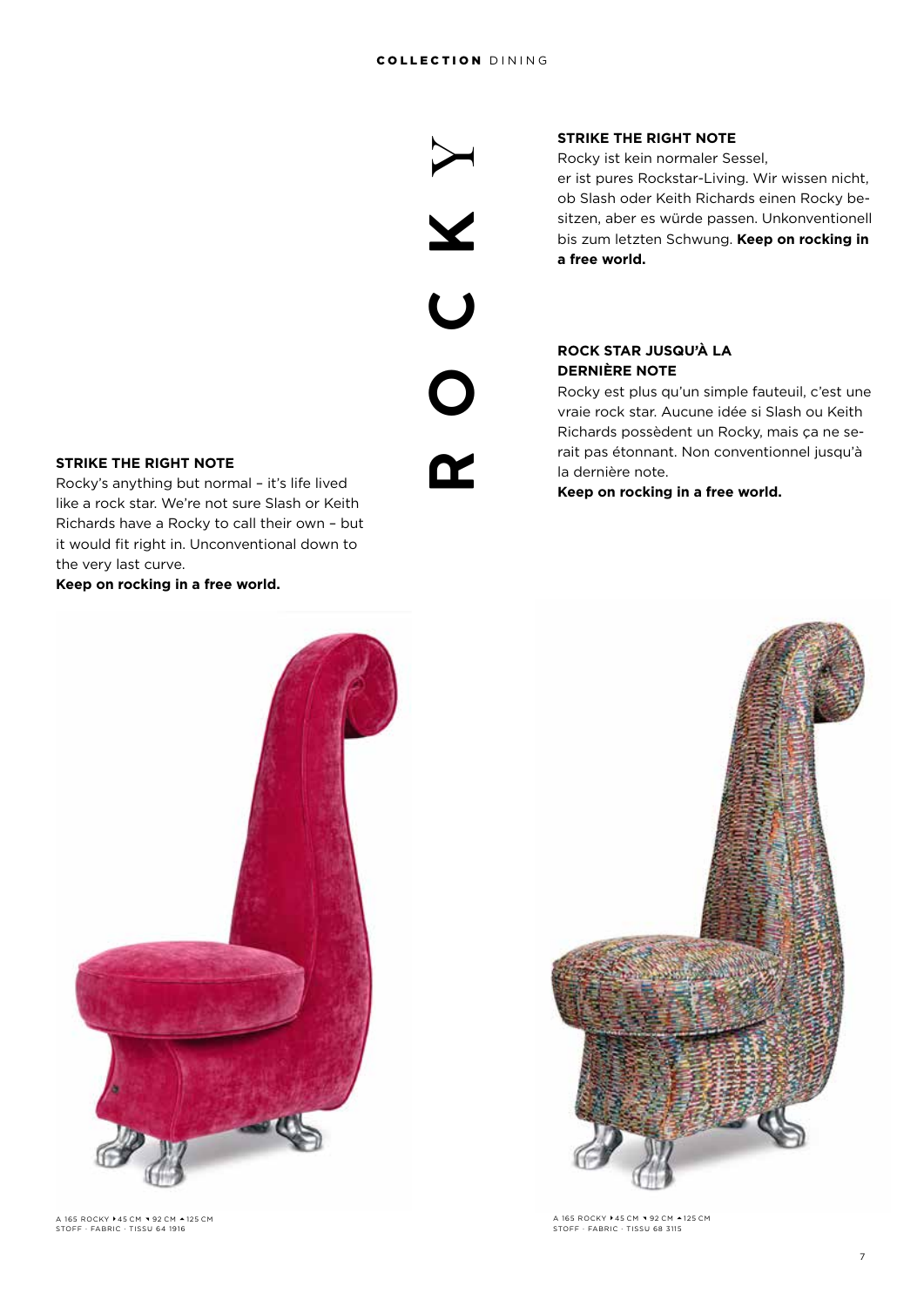$\blacktriangleright$ 

X

**ROCK**

 $\overline{\mathsf{U}}$ 

**STRIKE THE RIGHT NOTE**

Rocky ist kein normaler Sessel, er ist pures Rockstar-Living. Wir wissen nicht, ob Slash oder Keith Richards einen Rocky besitzen, aber es würde passen. Unkonventionell bis zum letzten Schwung. **Keep on rocking in a free world.**

# **ROCK STAR JUSQU'À LA DERNIÈRE NOTE**

Rocky est plus qu'un simple fauteuil, c'est une vraie rock star. Aucune idée si Slash ou Keith Richards possèdent un Rocky, mais ça ne serait pas étonnant. Non conventionnel jusqu'à la dernière note.

**Keep on rocking in a free world.**



A 165 ROCKY ▶ 45 CM ▼ 92 CM ▲ 125 CM STOFF · FABRIC · TISSU 68 3115

## **STRIKE THE RIGHT NOTE**

Rocky's anything but normal – it's life lived like a rock star. We're not sure Slash or Keith Richards have a Rocky to call their own – but it would fit right in. Unconventional down to the very last curve.

**Keep on rocking in a free world.**



A 165 ROCKY ▶45 CM ▼92 CM ▲125 CM<br>STOFF · FABRIC · TISSU 64 1916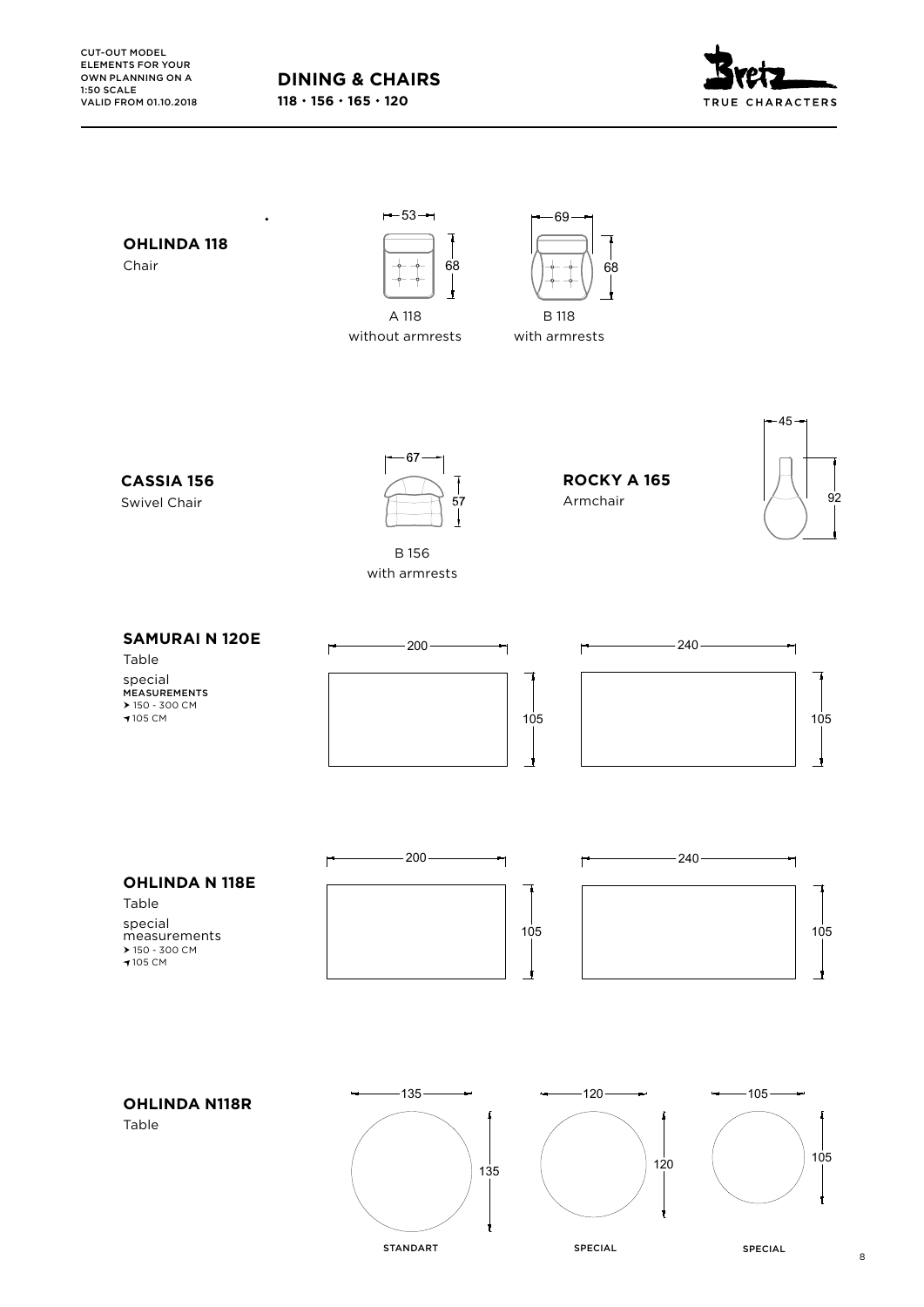



8